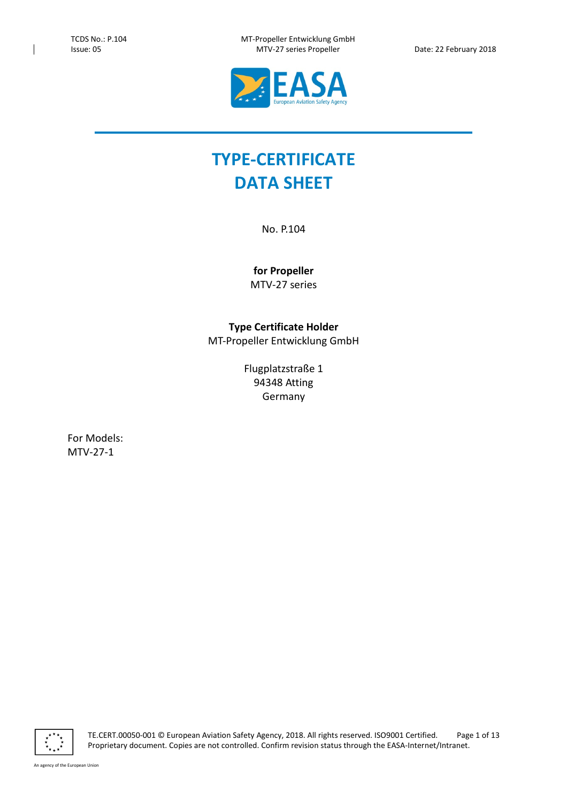TCDS No.: P.104 MT-Propeller Entwicklung GmbH Issue: 05 MTV-27 series Propeller Date: 22 February 2018



# **TYPE-CERTIFICATE DATA SHEET**

No. P.104

**for Propeller**  MTV-27 series

# **Type Certificate Holder**  MT-Propeller Entwicklung GmbH

Flugplatzstraße 1 94348 Atting Germany

For Models: MTV-27-1



TE.CERT.00050-001 © European Aviation Safety Agency, 2018. All rights reserved. ISO9001 Certified. Page 1 of 13 Proprietary document. Copies are not controlled. Confirm revision status through the EASA-Internet/Intranet.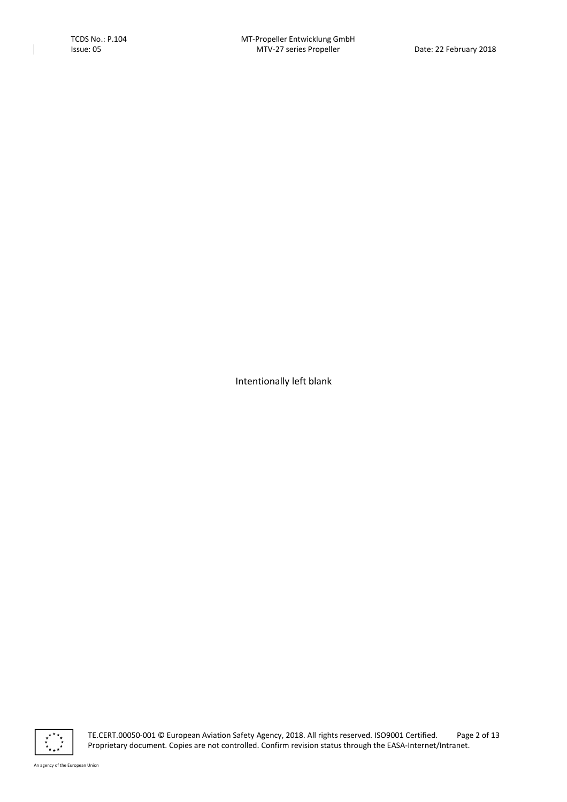Intentionally left blank



TE.CERT.00050-001 © European Aviation Safety Agency, 2018. All rights reserved. ISO9001 Certified. Page 2 of 13 Proprietary document. Copies are not controlled. Confirm revision status through the EASA-Internet/Intranet.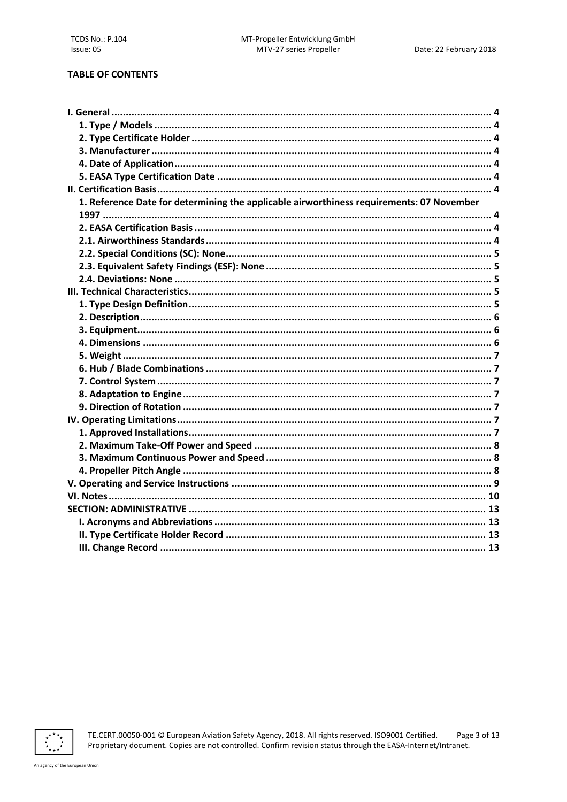# **TABLE OF CONTENTS**

| 1. Reference Date for determining the applicable airworthiness requirements: 07 November |  |
|------------------------------------------------------------------------------------------|--|
|                                                                                          |  |
|                                                                                          |  |
|                                                                                          |  |
|                                                                                          |  |
|                                                                                          |  |
|                                                                                          |  |
|                                                                                          |  |
|                                                                                          |  |
|                                                                                          |  |
|                                                                                          |  |
|                                                                                          |  |
|                                                                                          |  |
|                                                                                          |  |
|                                                                                          |  |
|                                                                                          |  |
|                                                                                          |  |
|                                                                                          |  |
|                                                                                          |  |
|                                                                                          |  |
|                                                                                          |  |
|                                                                                          |  |
|                                                                                          |  |
|                                                                                          |  |
|                                                                                          |  |
|                                                                                          |  |
|                                                                                          |  |
|                                                                                          |  |
|                                                                                          |  |

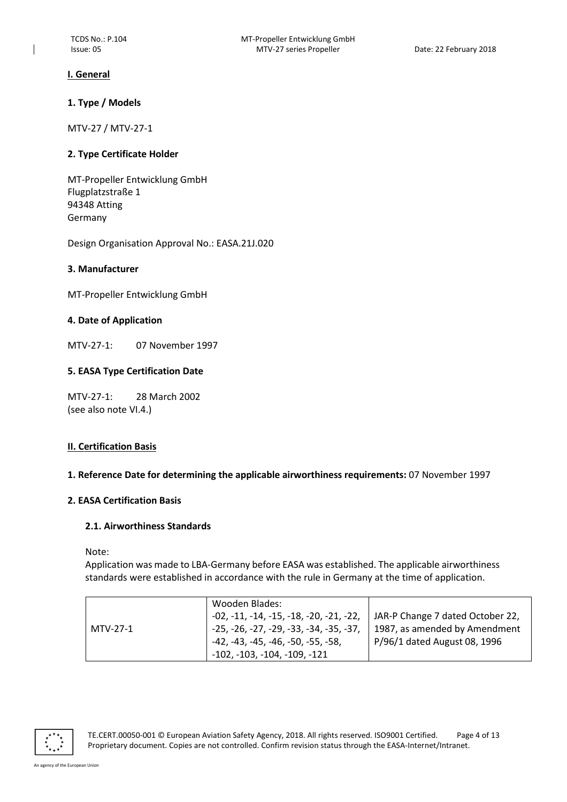# **I. General**

# **1. Type / Models**

MTV-27 / MTV-27-1

# **2. Type Certificate Holder**

MT-Propeller Entwicklung GmbH Flugplatzstraße 1 94348 Atting Germany

Design Organisation Approval No.: EASA.21J.020

# **3. Manufacturer**

MT-Propeller Entwicklung GmbH

# **4. Date of Application**

MTV-27-1: 07 November 1997

# **5. EASA Type Certification Date**

MTV-27-1: 28 March 2002 (see also note VI.4.)

#### **II. Certification Basis**

#### **1. Reference Date for determining the applicable airworthiness requirements:** 07 November 1997

#### **2. EASA Certification Basis**

#### **2.1. Airworthiness Standards**

Note:

Application was made to LBA-Germany before EASA was established. The applicable airworthiness standards were established in accordance with the rule in Germany at the time of application.

|          | Wooden Blades:                            |                                  |
|----------|-------------------------------------------|----------------------------------|
|          | $-02, -11, -14, -15, -18, -20, -21, -22,$ | JAR-P Change 7 dated October 22, |
| MTV-27-1 | -25, -26, -27, -29, -33, -34, -35, -37,   | 1987, as amended by Amendment    |
|          | -42, -43, -45, -46, -50, -55, -58,        | P/96/1 dated August 08, 1996     |
|          | -102, -103, -104, -109, -121              |                                  |

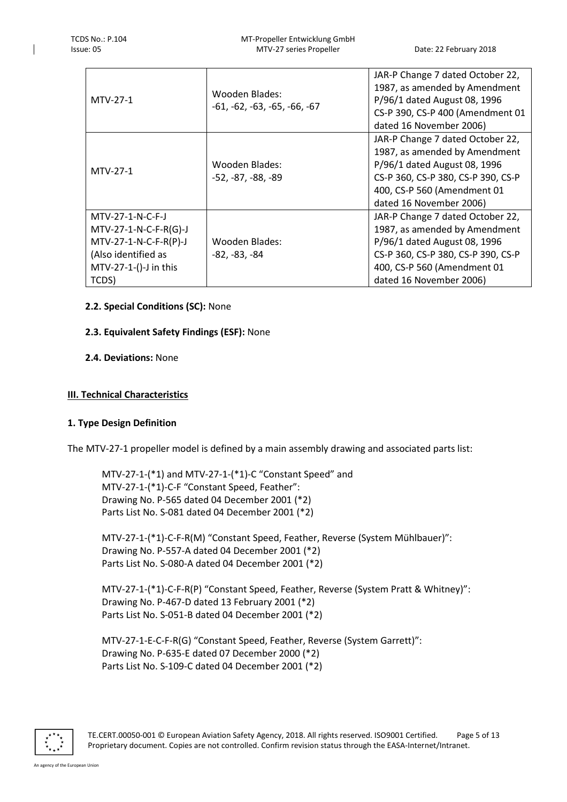| MTV-27-1                                                                                                                         | <b>Wooden Blades:</b><br>$-61, -62, -63, -65, -66, -67$ | JAR-P Change 7 dated October 22,<br>1987, as amended by Amendment<br>P/96/1 dated August 08, 1996<br>CS-P 390, CS-P 400 (Amendment 01<br>dated 16 November 2006)                                  |
|----------------------------------------------------------------------------------------------------------------------------------|---------------------------------------------------------|---------------------------------------------------------------------------------------------------------------------------------------------------------------------------------------------------|
| MTV-27-1                                                                                                                         | Wooden Blades:<br>$-52, -87, -88, -89$                  | JAR-P Change 7 dated October 22,<br>1987, as amended by Amendment<br>P/96/1 dated August 08, 1996<br>CS-P 360, CS-P 380, CS-P 390, CS-P<br>400, CS-P 560 (Amendment 01<br>dated 16 November 2006) |
| MTV-27-1-N-C-F-J<br>$MTV-27-1-N-C-F-R(G)-J$<br>MTV-27-1-N-C-F-R(P)-J<br>(Also identified as<br>$MTV-27-1-()$ -J in this<br>TCDS) | Wooden Blades:<br>-82, -83, -84                         | JAR-P Change 7 dated October 22,<br>1987, as amended by Amendment<br>P/96/1 dated August 08, 1996<br>CS-P 360, CS-P 380, CS-P 390, CS-P<br>400, CS-P 560 (Amendment 01<br>dated 16 November 2006) |

#### **2.2. Special Conditions (SC):** None

#### **2.3. Equivalent Safety Findings (ESF):** None

#### **2.4. Deviations:** None

#### **III. Technical Characteristics**

#### **1. Type Design Definition**

The MTV-27-1 propeller model is defined by a main assembly drawing and associated parts list:

MTV-27-1-(\*1) and MTV-27-1-(\*1)-C "Constant Speed" and MTV-27-1-(\*1)-C-F "Constant Speed, Feather": Drawing No. P-565 dated 04 December 2001 (\*2) Parts List No. S-081 dated 04 December 2001 (\*2)

MTV-27-1-(\*1)-C-F-R(M) "Constant Speed, Feather, Reverse (System Mühlbauer)": Drawing No. P-557-A dated 04 December 2001 (\*2) Parts List No. S-080-A dated 04 December 2001 (\*2)

MTV-27-1-(\*1)-C-F-R(P) "Constant Speed, Feather, Reverse (System Pratt & Whitney)": Drawing No. P-467-D dated 13 February 2001 (\*2) Parts List No. S-051-B dated 04 December 2001 (\*2)

MTV-27-1-E-C-F-R(G) "Constant Speed, Feather, Reverse (System Garrett)": Drawing No. P-635-E dated 07 December 2000 (\*2) Parts List No. S-109-C dated 04 December 2001 (\*2)



TE.CERT.00050-001 © European Aviation Safety Agency, 2018. All rights reserved. ISO9001 Certified. Page 5 of 13 Proprietary document. Copies are not controlled. Confirm revision status through the EASA-Internet/Intranet.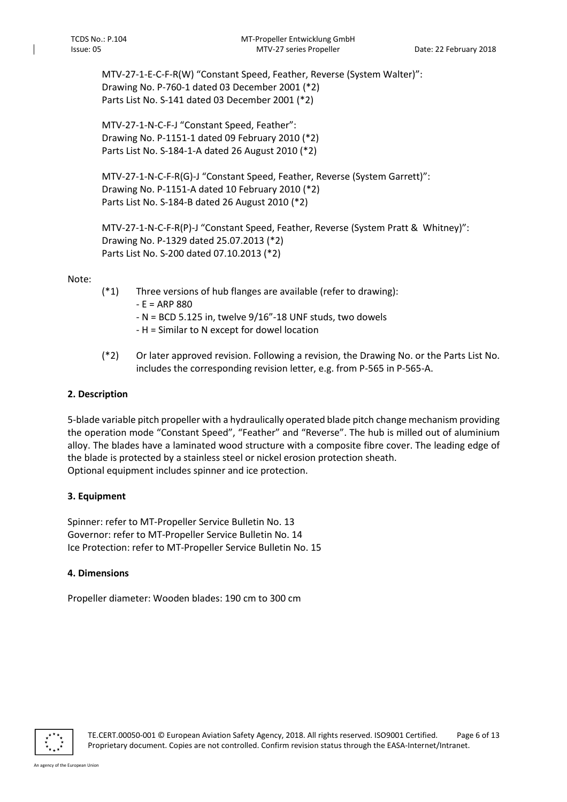MTV-27-1-E-C-F-R(W) "Constant Speed, Feather, Reverse (System Walter)": Drawing No. P-760-1 dated 03 December 2001 (\*2) Parts List No. S-141 dated 03 December 2001 (\*2)

MTV-27-1-N-C-F-J "Constant Speed, Feather": Drawing No. P-1151-1 dated 09 February 2010 (\*2) Parts List No. S-184-1-A dated 26 August 2010 (\*2)

MTV-27-1-N-C-F-R(G)-J "Constant Speed, Feather, Reverse (System Garrett)": Drawing No. P-1151-A dated 10 February 2010 (\*2) Parts List No. S-184-B dated 26 August 2010 (\*2)

MTV-27-1-N-C-F-R(P)-J "Constant Speed, Feather, Reverse (System Pratt & Whitney)": Drawing No. P-1329 dated 25.07.2013 (\*2) Parts List No. S-200 dated 07.10.2013 (\*2)

#### Note:

- (\*1) Three versions of hub flanges are available (refer to drawing):
	- $-E = ARP 880$
	- N = BCD 5.125 in, twelve 9/16"-18 UNF studs, two dowels
	- H = Similar to N except for dowel location
- (\*2) Or later approved revision. Following a revision, the Drawing No. or the Parts List No. includes the corresponding revision letter, e.g. from P-565 in P-565-A.

#### **2. Description**

5-blade variable pitch propeller with a hydraulically operated blade pitch change mechanism providing the operation mode "Constant Speed", "Feather" and "Reverse". The hub is milled out of aluminium alloy. The blades have a laminated wood structure with a composite fibre cover. The leading edge of the blade is protected by a stainless steel or nickel erosion protection sheath. Optional equipment includes spinner and ice protection.

#### **3. Equipment**

Spinner: refer to MT-Propeller Service Bulletin No. 13 Governor: refer to MT-Propeller Service Bulletin No. 14 Ice Protection: refer to MT-Propeller Service Bulletin No. 15

#### **4. Dimensions**

Propeller diameter: Wooden blades: 190 cm to 300 cm



TE.CERT.00050-001 © European Aviation Safety Agency, 2018. All rights reserved. ISO9001 Certified. Page 6 of 13 Proprietary document. Copies are not controlled. Confirm revision status through the EASA-Internet/Intranet.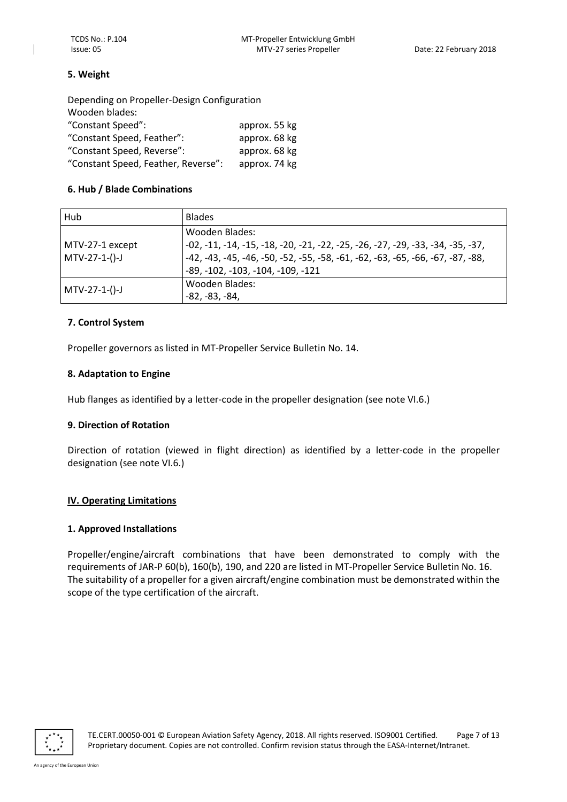# **5. Weight**

| Depending on Propeller-Design Configuration |               |  |
|---------------------------------------------|---------------|--|
| Wooden blades:                              |               |  |
| "Constant Speed":                           | approx. 55 kg |  |
| "Constant Speed, Feather":                  | approx. 68 kg |  |
| "Constant Speed, Reverse":                  | approx. 68 kg |  |
| "Constant Speed, Feather, Reverse":         | approx. 74 kg |  |

# **6. Hub / Blade Combinations**

| Hub              | <b>Blades</b>                                                                     |
|------------------|-----------------------------------------------------------------------------------|
|                  | Wooden Blades:                                                                    |
| MTV-27-1 except  | $-02, -11, -14, -15, -18, -20, -21, -22, -25, -26, -27, -29, -33, -34, -35, -37,$ |
| MTV-27-1-()-J    | -42, -43, -45, -46, -50, -52, -55, -58, -61, -62, -63, -65, -66, -67, -87, -88,   |
|                  | $-89, -102, -103, -104, -109, -121$                                               |
| $MTV-27-1-()$ -J | <b>Wooden Blades:</b>                                                             |
|                  | -82, -83, -84,                                                                    |

#### **7. Control System**

Propeller governors as listed in MT-Propeller Service Bulletin No. 14.

# **8. Adaptation to Engine**

Hub flanges as identified by a letter-code in the propeller designation (see note VI.6.)

#### **9. Direction of Rotation**

Direction of rotation (viewed in flight direction) as identified by a letter-code in the propeller designation (see note VI.6.)

#### **IV. Operating Limitations**

#### **1. Approved Installations**

Propeller/engine/aircraft combinations that have been demonstrated to comply with the requirements of JAR-P 60(b), 160(b), 190, and 220 are listed in MT-Propeller Service Bulletin No. 16. The suitability of a propeller for a given aircraft/engine combination must be demonstrated within the scope of the type certification of the aircraft.

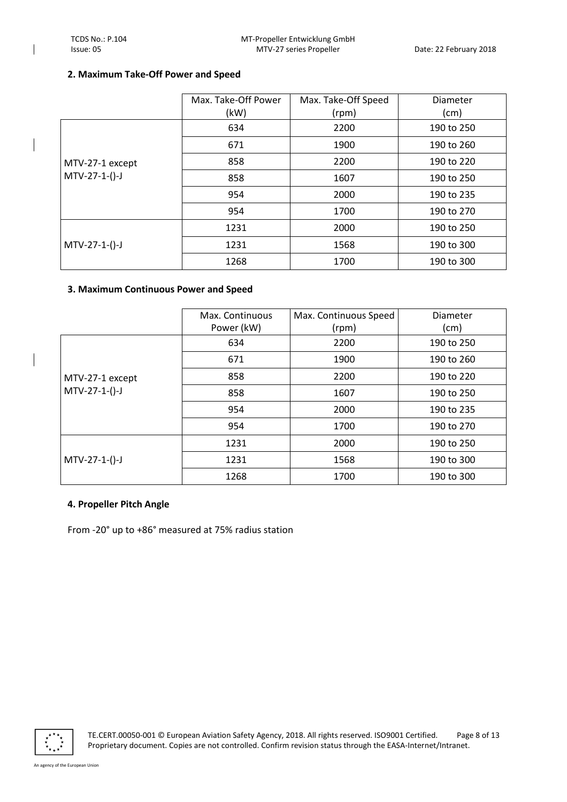#### **2. Maximum Take-Off Power and Speed**

|                  | Max. Take-Off Power | Max. Take-Off Speed | Diameter   |
|------------------|---------------------|---------------------|------------|
|                  | (kW)                | (rpm)               | (cm)       |
|                  | 634                 | 2200                | 190 to 250 |
|                  | 671                 | 1900                | 190 to 260 |
| MTV-27-1 except  | 858                 | 2200                | 190 to 220 |
| $MTV-27-1-()$ -J | 858                 | 1607                | 190 to 250 |
|                  | 954                 | 2000                | 190 to 235 |
|                  | 954                 | 1700                | 190 to 270 |
|                  | 1231                | 2000                | 190 to 250 |
| $MTV-27-1-()$ -J | 1231                | 1568                | 190 to 300 |
|                  | 1268                | 1700                | 190 to 300 |

### **3. Maximum Continuous Power and Speed**

|                 | Max. Continuous<br>Power (kW) | Max. Continuous Speed<br>(rpm) | Diameter<br>(cm) |
|-----------------|-------------------------------|--------------------------------|------------------|
|                 | 634                           | 2200                           | 190 to 250       |
|                 | 671                           | 1900                           | 190 to 260       |
| MTV-27-1 except | 858                           | 2200                           | 190 to 220       |
| MTV-27-1-()-J   | 858                           | 1607                           | 190 to 250       |
|                 | 954                           | 2000                           | 190 to 235       |
|                 | 954                           | 1700                           | 190 to 270       |
| MTV-27-1-()-J   | 1231                          | 2000                           | 190 to 250       |
|                 | 1231                          | 1568                           | 190 to 300       |
|                 | 1268                          | 1700                           | 190 to 300       |

#### **4. Propeller Pitch Angle**

From -20° up to +86° measured at 75% radius station



TE.CERT.00050-001 © European Aviation Safety Agency, 2018. All rights reserved. ISO9001 Certified. Page 8 of 13 Proprietary document. Copies are not controlled. Confirm revision status through the EASA-Internet/Intranet.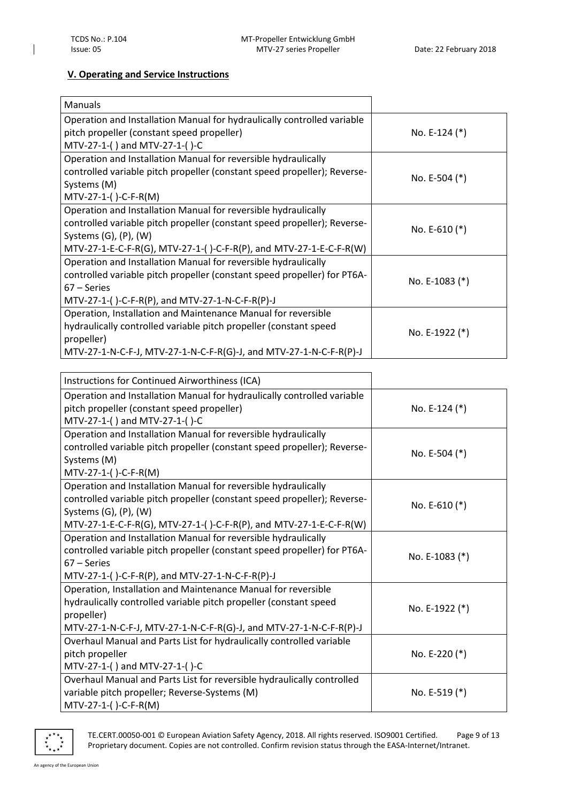# **V. Operating and Service Instructions**

| <b>Manuals</b>                                                           |                 |
|--------------------------------------------------------------------------|-----------------|
| Operation and Installation Manual for hydraulically controlled variable  |                 |
| pitch propeller (constant speed propeller)                               | No. $E-124$ (*) |
| MTV-27-1-() and MTV-27-1-()-C                                            |                 |
| Operation and Installation Manual for reversible hydraulically           |                 |
| controlled variable pitch propeller (constant speed propeller); Reverse- | No. E-504 (*)   |
| Systems (M)                                                              |                 |
| MTV-27-1-()-C-F-R(M)                                                     |                 |
| Operation and Installation Manual for reversible hydraulically           |                 |
| controlled variable pitch propeller (constant speed propeller); Reverse- | No. $E-610$ (*) |
| Systems $(G)$ , $(P)$ , $(W)$                                            |                 |
| MTV-27-1-E-C-F-R(G), MTV-27-1-()-C-F-R(P), and MTV-27-1-E-C-F-R(W)       |                 |
| Operation and Installation Manual for reversible hydraulically           |                 |
| controlled variable pitch propeller (constant speed propeller) for PT6A- |                 |
| $67 - Series$                                                            | No. E-1083 (*)  |
| MTV-27-1-()-C-F-R(P), and MTV-27-1-N-C-F-R(P)-J                          |                 |
| Operation, Installation and Maintenance Manual for reversible            |                 |
| hydraulically controlled variable pitch propeller (constant speed        |                 |
| propeller)                                                               | No. E-1922 (*)  |
| MTV-27-1-N-C-F-J, MTV-27-1-N-C-F-R(G)-J, and MTV-27-1-N-C-F-R(P)-J       |                 |

| Instructions for Continued Airworthiness (ICA)                                                                                                                                                                                            |                |
|-------------------------------------------------------------------------------------------------------------------------------------------------------------------------------------------------------------------------------------------|----------------|
| Operation and Installation Manual for hydraulically controlled variable<br>pitch propeller (constant speed propeller)<br>MTV-27-1-() and MTV-27-1-()-C                                                                                    | No. E-124 (*)  |
| Operation and Installation Manual for reversible hydraulically<br>controlled variable pitch propeller (constant speed propeller); Reverse-<br>Systems (M)                                                                                 | No. E-504 (*)  |
| MTV-27-1-()-C-F-R(M)                                                                                                                                                                                                                      |                |
| Operation and Installation Manual for reversible hydraulically<br>controlled variable pitch propeller (constant speed propeller); Reverse-<br>Systems (G), (P), (W)<br>MTV-27-1-E-C-F-R(G), MTV-27-1-()-C-F-R(P), and MTV-27-1-E-C-F-R(W) | No. E-610 (*)  |
| Operation and Installation Manual for reversible hydraulically<br>controlled variable pitch propeller (constant speed propeller) for PT6A-<br>67 – Series<br>MTV-27-1-()-C-F-R(P), and MTV-27-1-N-C-F-R(P)-J                              | No. E-1083 (*) |
| Operation, Installation and Maintenance Manual for reversible<br>hydraulically controlled variable pitch propeller (constant speed<br>propeller)<br>MTV-27-1-N-C-F-J, MTV-27-1-N-C-F-R(G)-J, and MTV-27-1-N-C-F-R(P)-J                    | No. E-1922 (*) |
| Overhaul Manual and Parts List for hydraulically controlled variable<br>pitch propeller<br>MTV-27-1-() and MTV-27-1-()-C                                                                                                                  | No. E-220 (*)  |
| Overhaul Manual and Parts List for reversible hydraulically controlled<br>variable pitch propeller; Reverse-Systems (M)<br>MTV-27-1-()-C-F-R(M)                                                                                           | No. E-519 (*)  |

 $\overline{\mathbf{y}^{\star}_{\star}}^{\star\star}_{\star\star}$ 

TE.CERT.00050-001 © European Aviation Safety Agency, 2018. All rights reserved. ISO9001 Certified. Page 9 of 13 Proprietary document. Copies are not controlled. Confirm revision status through the EASA-Internet/Intranet.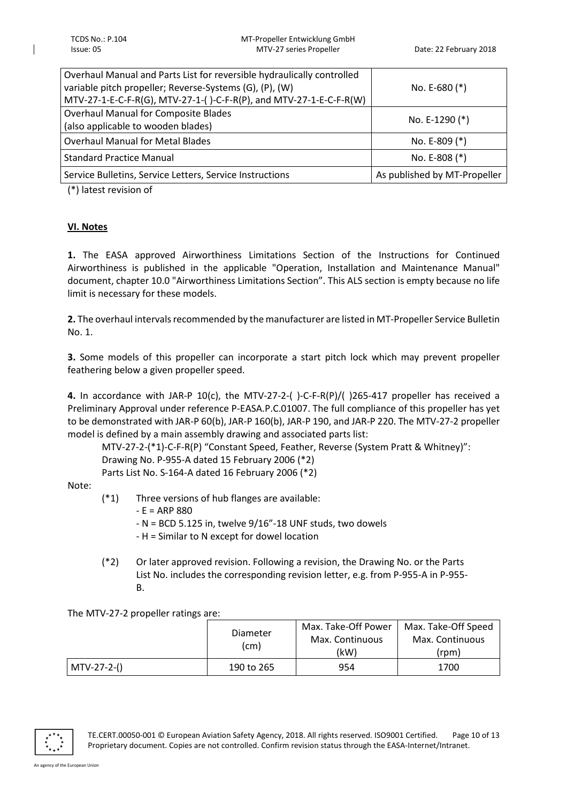| Overhaul Manual and Parts List for reversible hydraulically controlled |                              |  |
|------------------------------------------------------------------------|------------------------------|--|
| variable pitch propeller; Reverse-Systems (G), (P), (W)                | No. E-680 (*)                |  |
| MTV-27-1-E-C-F-R(G), MTV-27-1-()-C-F-R(P), and MTV-27-1-E-C-F-R(W)     |                              |  |
| <b>Overhaul Manual for Composite Blades</b>                            | No. E-1290 (*)               |  |
| (also applicable to wooden blades)                                     |                              |  |
| <b>Overhaul Manual for Metal Blades</b>                                | No. E-809 (*)                |  |
| <b>Standard Practice Manual</b>                                        | No. E-808 (*)                |  |
| Service Bulletins, Service Letters, Service Instructions               | As published by MT-Propeller |  |

(\*) latest revision of

# **VI. Notes**

**1.** The EASA approved Airworthiness Limitations Section of the Instructions for Continued Airworthiness is published in the applicable "Operation, Installation and Maintenance Manual" document, chapter 10.0 "Airworthiness Limitations Section". This ALS section is empty because no life limit is necessary for these models.

**2.** The overhaul intervals recommended by the manufacturer are listed in MT-Propeller Service Bulletin No. 1.

**3.** Some models of this propeller can incorporate a start pitch lock which may prevent propeller feathering below a given propeller speed.

**4.** In accordance with JAR-P 10(c), the MTV-27-2-( )-C-F-R(P)/( )265-417 propeller has received a Preliminary Approval under reference P-EASA.P.C.01007. The full compliance of this propeller has yet to be demonstrated with JAR-P 60(b), JAR-P 160(b), JAR-P 190, and JAR-P 220. The MTV-27-2 propeller model is defined by a main assembly drawing and associated parts list:

MTV-27-2-(\*1)-C-F-R(P) "Constant Speed, Feather, Reverse (System Pratt & Whitney)": Drawing No. P-955-A dated 15 February 2006 (\*2) Parts List No. S-164-A dated 16 February 2006 (\*2)

Note:

(\*1) Three versions of hub flanges are available:  $-E = ARP 880$  $-N = BCD 5.125$  in, twelve  $9/16" - 18 UNF$  studs, two dowels - H = Similar to N except for dowel location

(\*2) Or later approved revision. Following a revision, the Drawing No. or the Parts List No. includes the corresponding revision letter, e.g. from P-955-A in P-955- B.

The MTV-27-2 propeller ratings are:

|             | Diameter<br>(cm) | Max. Take-Off Power<br>Max. Continuous<br>(kW) | Max. Take-Off Speed<br>Max. Continuous<br>(rpm) |
|-------------|------------------|------------------------------------------------|-------------------------------------------------|
| MTV-27-2-() | 190 to 265       | 954                                            | 1700                                            |

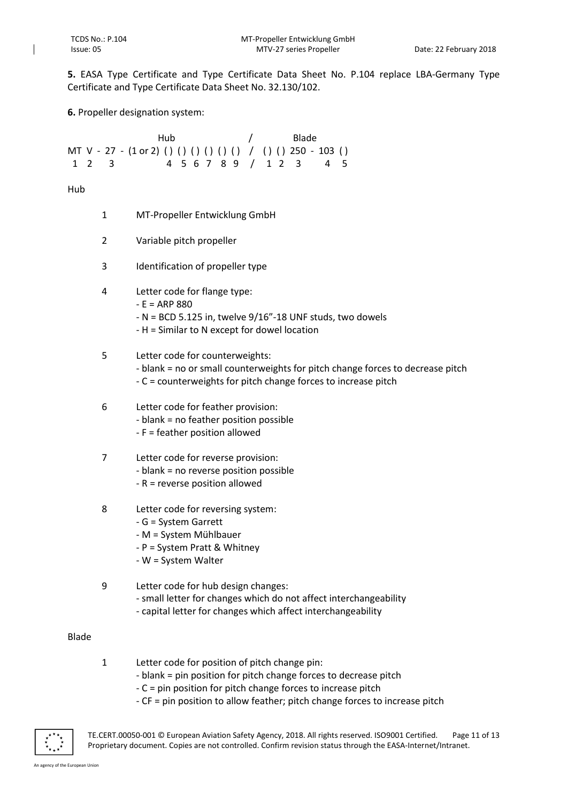**5.** EASA Type Certificate and Type Certificate Data Sheet No. P.104 replace LBA-Germany Type Certificate and Type Certificate Data Sheet No. 32.130/102.

**6.** Propeller designation system:

 Hub / Blade MT V - 27 - (1 or 2) () () () () () () () / () () 250 - 103 () 1 2 3 4 5 6 7 8 9 / 1 2 3 4 5

Hub

- 1 MT-Propeller Entwicklung GmbH
- 2 Variable pitch propeller
- 3 Identification of propeller type
- 4 Letter code for flange type:
	- $-E = ARP 880$
	- N = BCD 5.125 in, twelve 9/16"-18 UNF studs, two dowels
	- H = Similar to N except for dowel location
- 5 Letter code for counterweights: - blank = no or small counterweights for pitch change forces to decrease pitch - C = counterweights for pitch change forces to increase pitch
- 6 Letter code for feather provision: - blank = no feather position possible - F = feather position allowed
- 7 Letter code for reverse provision: - blank = no reverse position possible
	- R = reverse position allowed
- 8 Letter code for reversing system:
	- G = System Garrett
	- M = System Mühlbauer
	- P = System Pratt & Whitney
	- W = System Walter
- 9 Letter code for hub design changes:
	- small letter for changes which do not affect interchangeability
		- capital letter for changes which affect interchangeability

#### Blade

- 1 Letter code for position of pitch change pin:
	- blank = pin position for pitch change forces to decrease pitch
	- C = pin position for pitch change forces to increase pitch
	- CF = pin position to allow feather; pitch change forces to increase pitch



TE.CERT.00050-001 © European Aviation Safety Agency, 2018. All rights reserved. ISO9001 Certified. Page 11 of 13 Proprietary document. Copies are not controlled. Confirm revision status through the EASA-Internet/Intranet.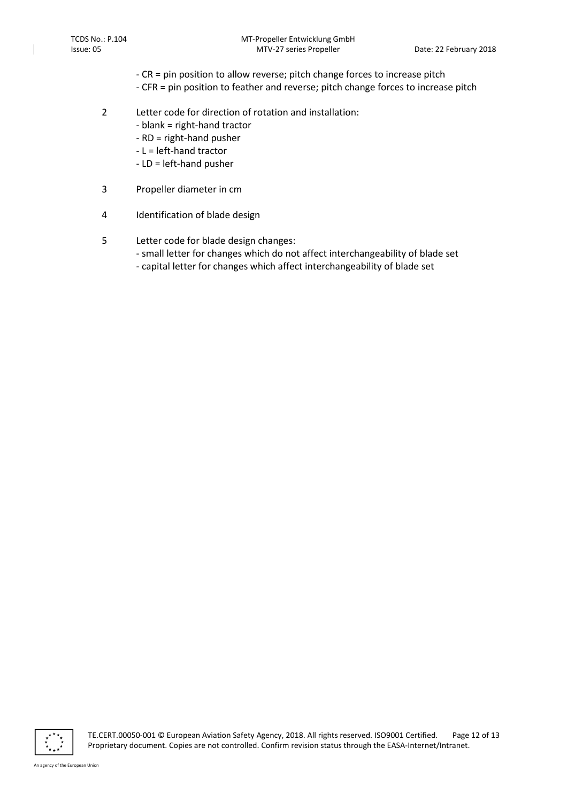- CR = pin position to allow reverse; pitch change forces to increase pitch
- CFR = pin position to feather and reverse; pitch change forces to increase pitch
- 2 Letter code for direction of rotation and installation:
	- blank = right-hand tractor
	- RD = right-hand pusher
	- L = left-hand tractor
	- LD = left-hand pusher
- 3 Propeller diameter in cm
- 4 Identification of blade design
- 5 Letter code for blade design changes:
	- small letter for changes which do not affect interchangeability of blade set - capital letter for changes which affect interchangeability of blade set



TE.CERT.00050-001 © European Aviation Safety Agency, 2018. All rights reserved. ISO9001 Certified. Page 12 of 13 Proprietary document. Copies are not controlled. Confirm revision status through the EASA-Internet/Intranet.